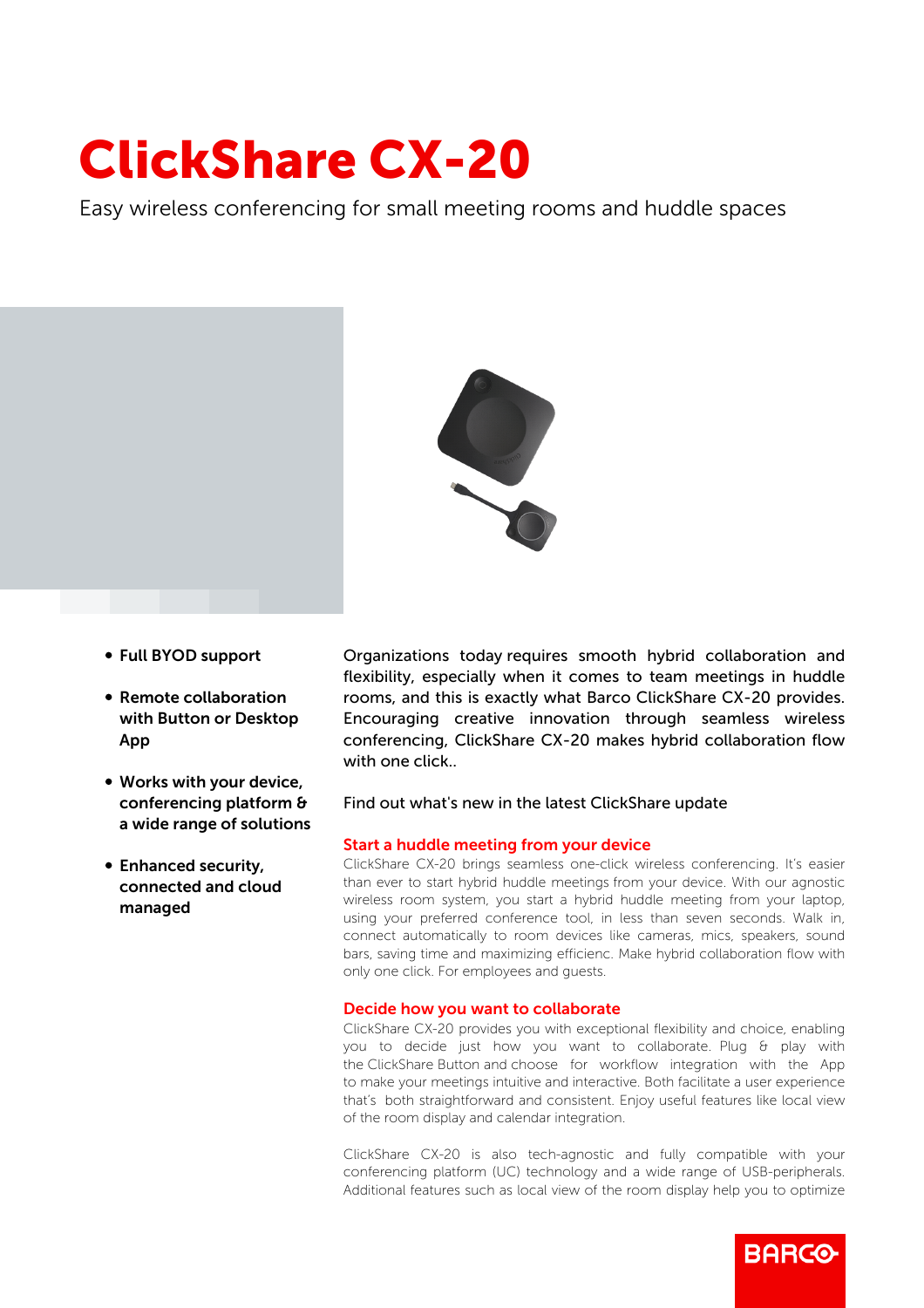# ClickShare CX-20

Easy wireless conferencing for small meeting rooms and huddle spaces



- b Full BYOD support
- Remote collaboration with Button or Desktop App
- Works with your device, conferencing platform & a wide range of solutions
- Enhanced security, connected and cloud managed

Organizations today requires smooth hybrid collaboration and flexibility, especially when it comes to team meetings in huddle rooms, and this is exactly what Barco ClickShare CX-20 provides. Encouraging creative innovation through seamless wireless conferencing, ClickShare CX-20 makes hybrid collaboration flow with one click.

## Find out what's new in the latest ClickShare update

### Start a huddle meeting from your device

ClickShare CX-20 brings seamless one-click wireless conferencing. It's easier than ever to start hybrid huddle meetings from your device. With our agnostic wireless room system, you start a hybrid huddle meeting from your laptop, using your preferred conference tool, in less than seven seconds. Walk in, connect automatically to room devices like cameras, mics, speakers, sound bars, saving time and maximizing efficienc. Make hybrid collaboration flow with only one click. For employees and guests.

## Decide how you want to collaborate

ClickShare CX-20 provides you with exceptional flexibility and choice, enabling you to decide just how you want to collaborate. Plug & play with the ClickShare Button and choose for workflow integration with the App to make your meetings intuitive and interactive. Both facilitate a user experience that's both straightforward and consistent. Enjoy useful features like local view of the room display and calendar integration.

ClickShare CX-20 is also tech-agnostic and fully compatible with your conferencing platform (UC) technology and a wide range of USB-peripherals. Additional features such as local view of the room display help you to optimize

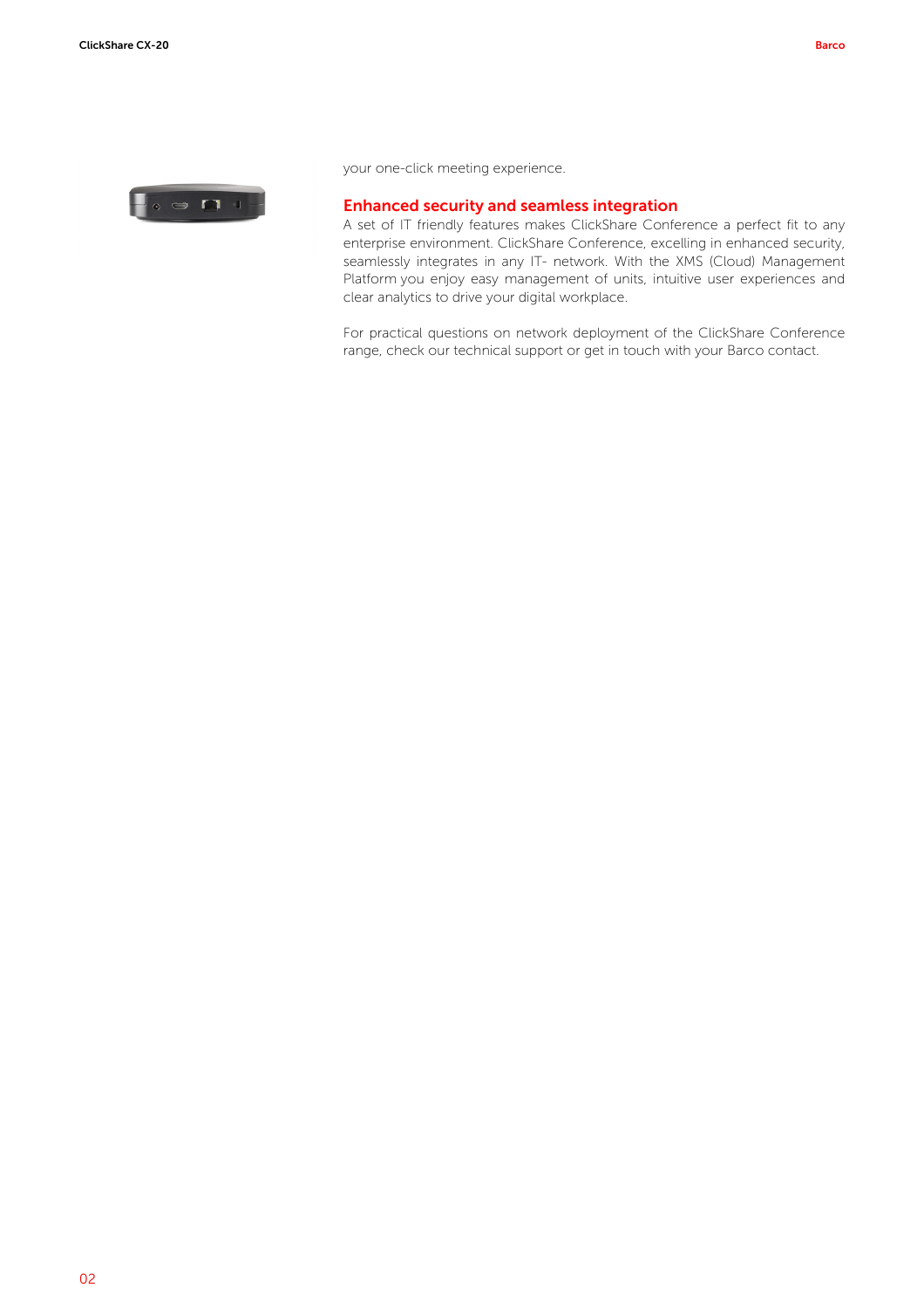

your one-click meeting experience.

#### Enhanced security and seamless integration

A set of IT friendly features makes ClickShare Conference a perfect fit to any enterprise environment. ClickShare Conference, excelling in enhanced security, seamlessly integrates in any IT- network. With the XMS (Cloud) Management Platform you enjoy easy management of units, intuitive user experiences and clear analytics to drive your digital workplace.

For practical questions on network deployment of the ClickShare Conference range, check our technical support or get in touch with your Barco contact.